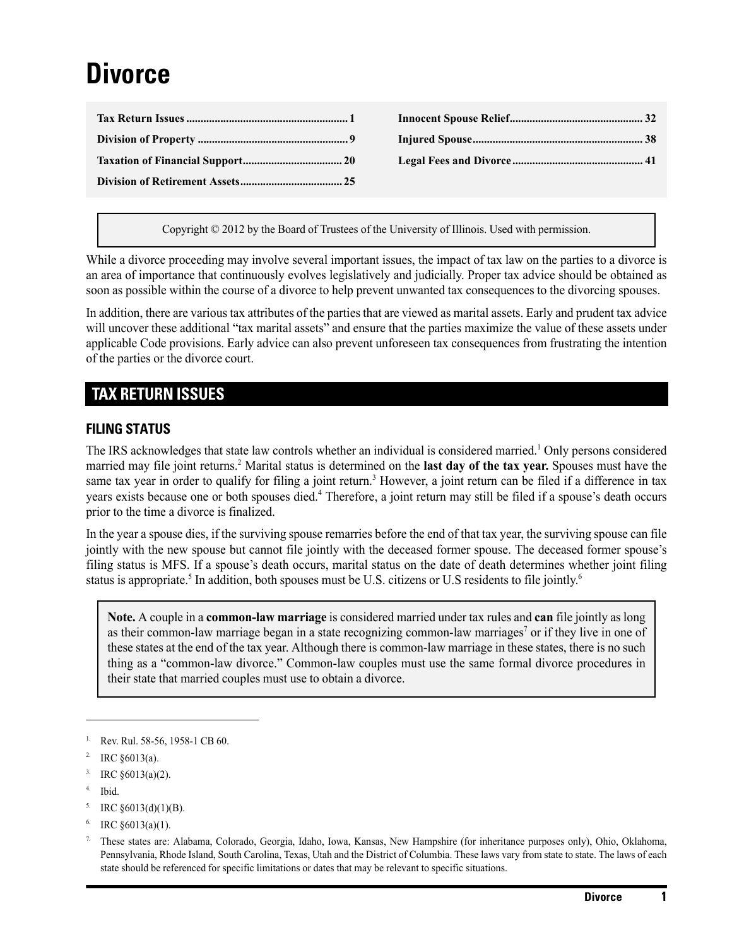# **Divorce**

Copyright © 2012 by the Board of Trustees of the University of Illinois. Used with permission.

While a divorce proceeding may involve several important issues, the impact of tax law on the parties to a divorce is an area of importance that continuously evolves legislatively and judicially. Proper tax advice should be obtained as soon as possible within the course of a divorce to help prevent unwanted tax consequences to the divorcing spouses.

In addition, there are various tax attributes of the parties that are viewed as marital assets. Early and prudent tax advice will uncover these additional "tax marital assets" and ensure that the parties maximize the value of these assets under applicable Code provisions. Early advice can also prevent unforeseen tax consequences from frustrating the intention of the parties or the divorce court.

# <span id="page-0-0"></span>**TAX RETURN ISSUES**

#### **FILING STATUS**

The IRS acknowledges that state law controls whether an individual is considered married.<sup>1</sup> Only persons considered married may file joint returns.<sup>2</sup> Marital status is determined on the last day of the tax year. Spouses must have the same tax year in order to qualify for filing a joint return.<sup>3</sup> However, a joint return can be filed if a difference in tax years exists because one or both spouses died.<sup>4</sup> Therefore, a joint return may still be filed if a spouse's death occurs prior to the time a divorce is finalized.

In the year a spouse dies, if the surviving spouse remarries before the end of that tax year, the surviving spouse can file jointly with the new spouse but cannot file jointly with the deceased former spouse. The deceased former spouse's filing status is MFS. If a spouse's death occurs, marital status on the date of death determines whether joint filing status is appropriate.<sup>5</sup> In addition, both spouses must be U.S. citizens or U.S residents to file jointly.<sup>6</sup>

**Note.** A couple in a **common-law marriage** is considered married under tax rules and **can** file jointly as long as their common-law marriage began in a state recognizing common-law marriages<sup>7</sup> or if they live in one of these states at the end of the tax year. Although there is common-law marriage in these states, there is no such thing as a "common-law divorce." Common-law couples must use the same formal divorce procedures in their state that married couples must use to obtain a divorce.

- 4. Ibid.
- $^5$ . IRC  $\S 6013(d)(1)(B)$ .
- IRC  $§6013(a)(1)$ .

Rev. Rul. 58-56, 1958-1 CB 60.

IRC §6013(a).

<sup>&</sup>lt;sup>3.</sup> IRC  $§6013(a)(2)$ .

<sup>7.</sup> These states are: Alabama, Colorado, Georgia, Idaho, Iowa, Kansas, New Hampshire (for inheritance purposes only), Ohio, Oklahoma, Pennsylvania, Rhode Island, South Carolina, Texas, Utah and the District of Columbia. These laws vary from state to state. The laws of each state should be referenced for specific limitations or dates that may be relevant to specific situations.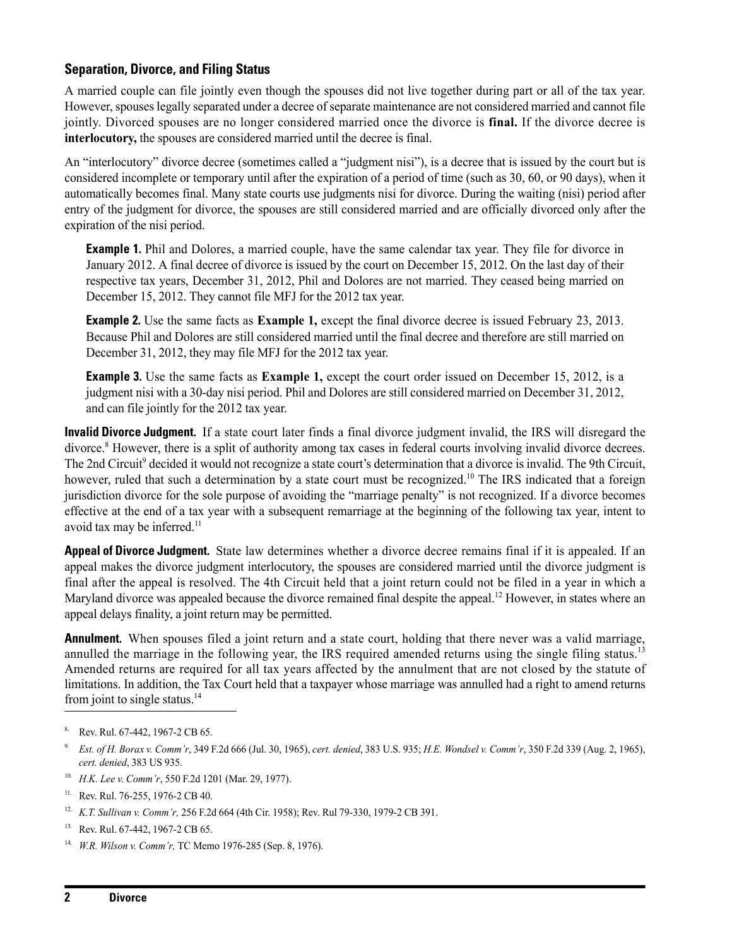## **Separation, Divorce, and Filing Status**

A married couple can file jointly even though the spouses did not live together during part or all of the tax year. However, spouses legally separated under a decree of separate maintenance are not considered married and cannot file jointly. Divorced spouses are no longer considered married once the divorce is **final.** If the divorce decree is **interlocutory,** the spouses are considered married until the decree is final.

An "interlocutory" divorce decree (sometimes called a "judgment nisi"), is a decree that is issued by the court but is considered incomplete or temporary until after the expiration of a period of time (such as 30, 60, or 90 days), when it automatically becomes final. Many state courts use judgments nisi for divorce. During the waiting (nisi) period after entry of the judgment for divorce, the spouses are still considered married and are officially divorced only after the expiration of the nisi period.

**Example 1.** Phil and Dolores, a married couple, have the same calendar tax year. They file for divorce in January 2012. A final decree of divorce is issued by the court on December 15, 2012. On the last day of their respective tax years, December 31, 2012, Phil and Dolores are not married. They ceased being married on December 15, 2012. They cannot file MFJ for the 2012 tax year.

**Example 2.** Use the same facts as **Example 1,** except the final divorce decree is issued February 23, 2013. Because Phil and Dolores are still considered married until the final decree and therefore are still married on December 31, 2012, they may file MFJ for the 2012 tax year.

**Example 3.** Use the same facts as **Example 1,** except the court order issued on December 15, 2012, is a judgment nisi with a 30-day nisi period. Phil and Dolores are still considered married on December 31, 2012, and can file jointly for the 2012 tax year.

**Invalid Divorce Judgment.** If a state court later finds a final divorce judgment invalid, the IRS will disregard the divorce.<sup>8</sup> However, there is a split of authority among tax cases in federal courts involving invalid divorce decrees. The 2nd Circuit<sup>9</sup> decided it would not recognize a state court's determination that a divorce is invalid. The 9th Circuit, however, ruled that such a determination by a state court must be recognized.<sup>10</sup> The IRS indicated that a foreign jurisdiction divorce for the sole purpose of avoiding the "marriage penalty" is not recognized. If a divorce becomes effective at the end of a tax year with a subsequent remarriage at the beginning of the following tax year, intent to avoid tax may be inferred.<sup>11</sup>

**Appeal of Divorce Judgment.** State law determines whether a divorce decree remains final if it is appealed. If an appeal makes the divorce judgment interlocutory, the spouses are considered married until the divorce judgment is final after the appeal is resolved. The 4th Circuit held that a joint return could not be filed in a year in which a Maryland divorce was appealed because the divorce remained final despite the appeal.<sup>12</sup> However, in states where an appeal delays finality, a joint return may be permitted.

**Annulment.** When spouses filed a joint return and a state court, holding that there never was a valid marriage, annulled the marriage in the following year, the IRS required amended returns using the single filing status.<sup>13</sup> Amended returns are required for all tax years affected by the annulment that are not closed by the statute of limitations. In addition, the Tax Court held that a taxpayer whose marriage was annulled had a right to amend returns from joint to single status. $14$ 

10. *H.K. Lee v. Comm'r*, 550 F.2d 1201 (Mar. 29, 1977).

14. *W.R. Wilson v. Comm'r,* TC Memo 1976-285 (Sep. 8, 1976).

Rev. Rul. 67-442, 1967-2 CB 65.

<sup>9.</sup> *Est. of H. Borax v. Comm'r*, 349 F.2d 666 (Jul. 30, 1965), *cert. denied*, 383 U.S. 935; *H.E. Wondsel v. Comm'r*, 350 F.2d 339 (Aug. 2, 1965), *cert. denied*, 383 US 935.

<sup>&</sup>lt;sup>11.</sup> Rev. Rul. 76-255, 1976-2 CB 40.

<sup>12.</sup> *K.T. Sullivan v. Comm'r,* 256 F.2d 664 (4th Cir. 1958); Rev. Rul 79-330, 1979-2 CB 391.

<sup>13.</sup> Rev. Rul. 67-442, 1967-2 CB 65.